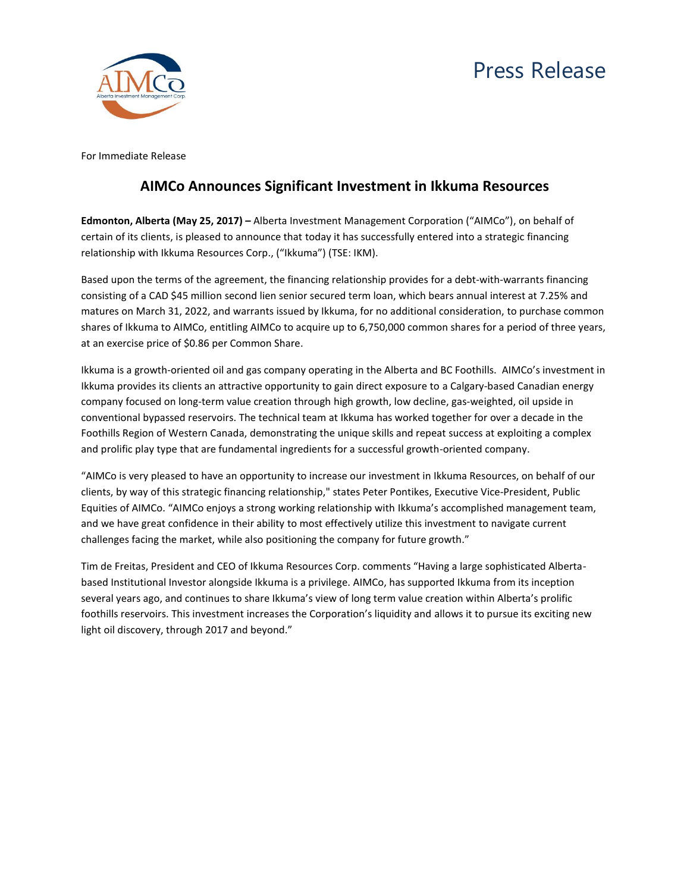## Press Release



For Immediate Release

## **AIMCo Announces Significant Investment in Ikkuma Resources**

**Edmonton, Alberta (May 25, 2017) –** Alberta Investment Management Corporation ("AIMCo"), on behalf of certain of its clients, is pleased to announce that today it has successfully entered into a strategic financing relationship with Ikkuma Resources Corp., ("Ikkuma") (TSE: IKM).

Based upon the terms of the agreement, the financing relationship provides for a debt-with-warrants financing consisting of a CAD \$45 million second lien senior secured term loan, which bears annual interest at 7.25% and matures on March 31, 2022, and warrants issued by Ikkuma, for no additional consideration, to purchase common shares of Ikkuma to AIMCo, entitling AIMCo to acquire up to 6,750,000 common shares for a period of three years, at an exercise price of \$0.86 per Common Share.

Ikkuma is a growth-oriented oil and gas company operating in the Alberta and BC Foothills. AIMCo's investment in Ikkuma provides its clients an attractive opportunity to gain direct exposure to a Calgary-based Canadian energy company focused on long-term value creation through high growth, low decline, gas-weighted, oil upside in conventional bypassed reservoirs. The technical team at Ikkuma has worked together for over a decade in the Foothills Region of Western Canada, demonstrating the unique skills and repeat success at exploiting a complex and prolific play type that are fundamental ingredients for a successful growth-oriented company.

"AIMCo is very pleased to have an opportunity to increase our investment in Ikkuma Resources, on behalf of our clients, by way of this strategic financing relationship," states Peter Pontikes, Executive Vice-President, Public Equities of AIMCo. "AIMCo enjoys a strong working relationship with Ikkuma's accomplished management team, and we have great confidence in their ability to most effectively utilize this investment to navigate current challenges facing the market, while also positioning the company for future growth."

Tim de Freitas, President and CEO of Ikkuma Resources Corp. comments "Having a large sophisticated Albertabased Institutional Investor alongside Ikkuma is a privilege. AIMCo, has supported Ikkuma from its inception several years ago, and continues to share Ikkuma's view of long term value creation within Alberta's prolific foothills reservoirs. This investment increases the Corporation's liquidity and allows it to pursue its exciting new light oil discovery, through 2017 and beyond."